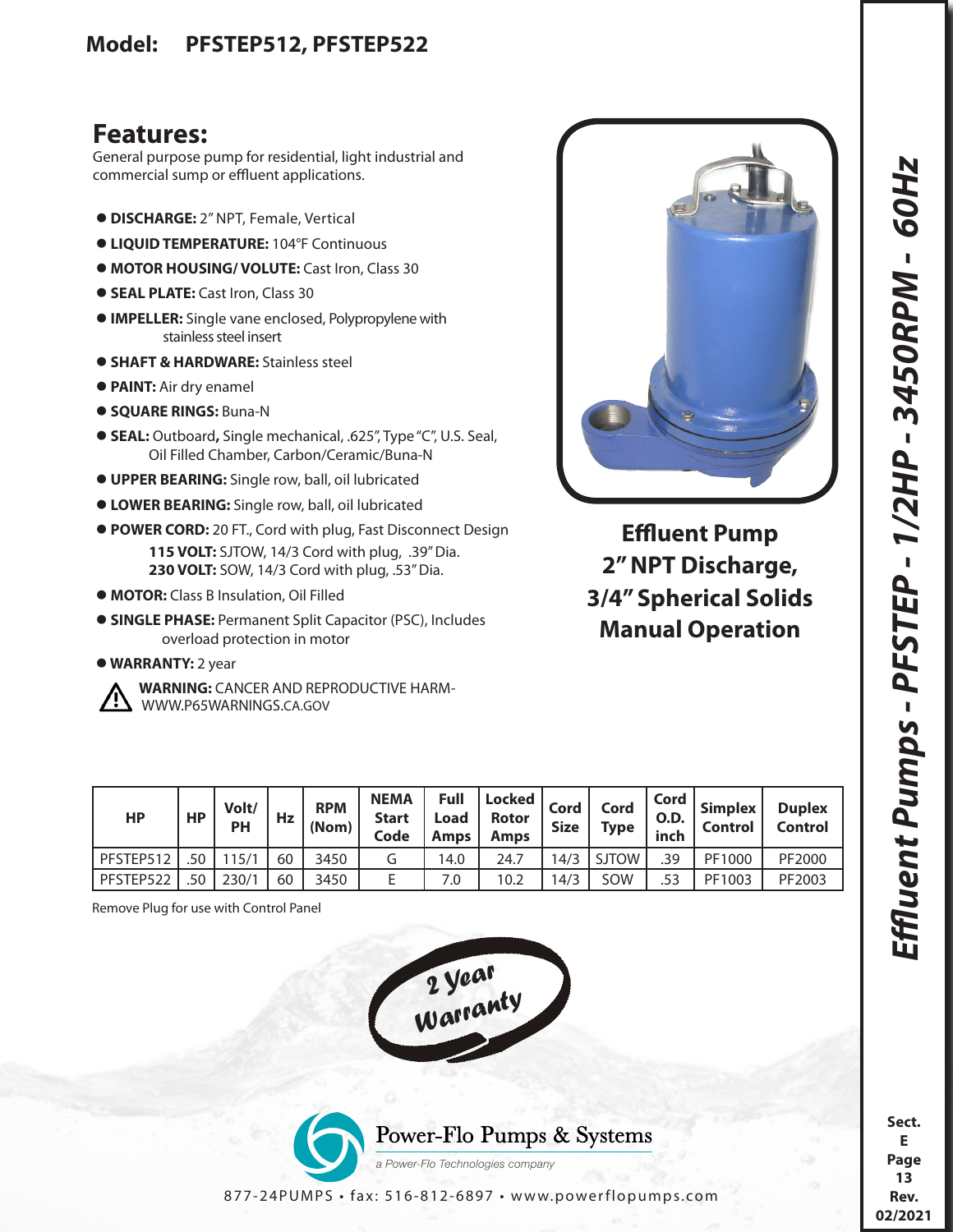## **Features:**

General purpose pump for residential, light industrial and commercial sump or effluent applications.

- **DISCHARGE:** 2" NPT, Female, Vertical
- **LIQUID TEMPERATURE:** 104°F Continuous
- **MOTOR HOUSING/ VOLUTE:** Cast Iron, Class 30
- **SEAL PLATE: Cast Iron, Class 30**
- **IMPELLER:** Single vane enclosed, Polypropylene with stainless steel insert
- **SHAFT & HARDWARE:** Stainless steel
- **PAINT:** Air dry enamel
- **SQUARE RINGS:** Buna-N
- **SEAL:** Outboard**,** Single mechanical, .625", Type "C", U.S. Seal, Oil Filled Chamber, Carbon/Ceramic/Buna-N
- **UPPER BEARING:** Single row, ball, oil lubricated
- **LOWER BEARING:** Single row, ball, oil lubricated
- **POWER CORD:** 20 FT., Cord with plug, Fast Disconnect Design **115 VOLT:** SJTOW, 14/3 Cord with plug, .39" Dia. **230 VOLT:** SOW, 14/3 Cord with plug, .53" Dia.
- **MOTOR:** Class B Insulation, Oil Filled
- **SINGLE PHASE:** Permanent Split Capacitor (PSC), Includes overload protection in motor
- **WARRANTY:** 2 year



 **WARNING:** CANCER AND REPRODUCTIVE HARM- WWW.P65WARNINGS.CA.GOV



**Effluent Pump 2" NPT Discharge, 3/4" Spherical Solids Manual Operation**

| HP        | <b>HP</b> | Volt/<br>PH | Hz | <b>RPM</b><br>(Nom) | <b>NEMA</b><br><b>Start</b><br>Code | Full<br>Load<br><b>Amps</b> | Locked  <br><b>Rotor</b><br><b>Amps</b> | Cord<br><b>Size</b> | Cord<br><b>Type</b> | Cord<br><b>O.D.</b><br>inch | Simplex<br><b>Control</b> | <b>Duplex</b><br><b>Control</b> |
|-----------|-----------|-------------|----|---------------------|-------------------------------------|-----------------------------|-----------------------------------------|---------------------|---------------------|-----------------------------|---------------------------|---------------------------------|
| PFSTEP512 | .50       |             | 60 | 3450                | G                                   | 14.0                        | 24.7                                    | 14/3                | <b>SJTOW</b>        | .39                         | PF1000                    | PF2000                          |
| PFSTEP522 | .50       | 230/1       | 60 | 3450                |                                     | 7.0                         | 10.2                                    | 14/3                | SOW                 | .53                         | PF1003                    | PF2003                          |

Remove Plug for use with Control Panel





877-24PUMPS • fax: 516-812-6897 • www.powerflopumps.com

**Sect. E Page 13 Rev. 02/2021**